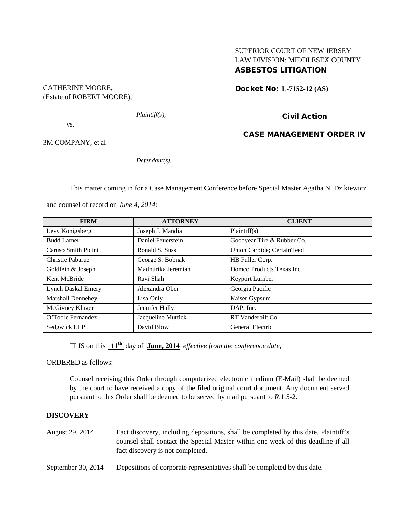## SUPERIOR COURT OF NEW JERSEY LAW DIVISION: MIDDLESEX COUNTY ASBESTOS LITIGATION

Docket No: **L-7152-12 (AS)** 

(Estate of ROBERT MOORE),

*Plaintiff(s),*

vs.

3M COMPANY, et al

CATHERINE MOORE,

*Defendant(s).*

Civil Action

CASE MANAGEMENT ORDER IV

This matter coming in for a Case Management Conference before Special Master Agatha N. Dzikiewicz

and counsel of record on *June 4, 2014*:

| <b>FIRM</b>               | <b>ATTORNEY</b>    | <b>CLIENT</b>              |
|---------------------------|--------------------|----------------------------|
| Levy Konigsberg           | Joseph J. Mandia   | Plaintiff(s)               |
| <b>Budd Larner</b>        | Daniel Feuerstein  | Goodyear Tire & Rubber Co. |
| Caruso Smith Picini       | Ronald S. Suss     | Union Carbide; CertainTeed |
| Christie Pabarue          | George S. Bobnak   | HB Fuller Corp.            |
| Goldfein & Joseph         | Madhurika Jeremiah | Domco Products Texas Inc.  |
| Kent McBride              | Ravi Shah          | Keyport Lumber             |
| <b>Lynch Daskal Emery</b> | Alexandra Ober     | Georgia Pacific            |
| <b>Marshall Dennehey</b>  | Lisa Only          | Kaiser Gypsum              |
| McGivney Kluger           | Jennifer Hally     | DAP, Inc.                  |
| O'Toole Fernandez         | Jacqueline Muttick | RT Vanderbilt Co.          |
| Sedgwick LLP              | David Blow         | General Electric           |

IT IS on this **11th** day of **June, 2014** *effective from the conference date;*

ORDERED as follows:

Counsel receiving this Order through computerized electronic medium (E-Mail) shall be deemed by the court to have received a copy of the filed original court document. Any document served pursuant to this Order shall be deemed to be served by mail pursuant to *R*.1:5-2.

### **DISCOVERY**

- August 29, 2014 Fact discovery, including depositions, shall be completed by this date. Plaintiff's counsel shall contact the Special Master within one week of this deadline if all fact discovery is not completed.
- September 30, 2014 Depositions of corporate representatives shall be completed by this date.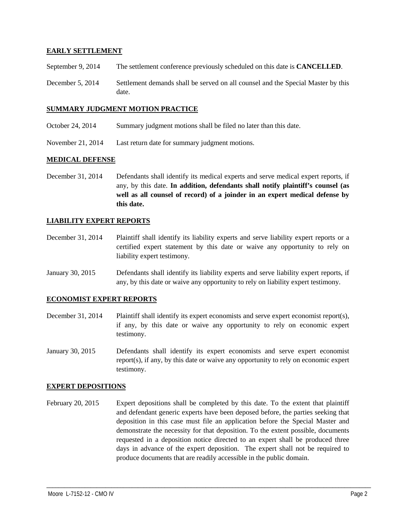### **EARLY SETTLEMENT**

- September 9, 2014 The settlement conference previously scheduled on this date is **CANCELLED**.
- December 5, 2014 Settlement demands shall be served on all counsel and the Special Master by this date.

#### **SUMMARY JUDGMENT MOTION PRACTICE**

- October 24, 2014 Summary judgment motions shall be filed no later than this date.
- November 21, 2014 Last return date for summary judgment motions.

#### **MEDICAL DEFENSE**

December 31, 2014 Defendants shall identify its medical experts and serve medical expert reports, if any, by this date. **In addition, defendants shall notify plaintiff's counsel (as well as all counsel of record) of a joinder in an expert medical defense by this date.**

## **LIABILITY EXPERT REPORTS**

- December 31, 2014 Plaintiff shall identify its liability experts and serve liability expert reports or a certified expert statement by this date or waive any opportunity to rely on liability expert testimony.
- January 30, 2015 Defendants shall identify its liability experts and serve liability expert reports, if any, by this date or waive any opportunity to rely on liability expert testimony.

#### **ECONOMIST EXPERT REPORTS**

- December 31, 2014 Plaintiff shall identify its expert economists and serve expert economist report(s), if any, by this date or waive any opportunity to rely on economic expert testimony.
- January 30, 2015 Defendants shall identify its expert economists and serve expert economist report(s), if any, by this date or waive any opportunity to rely on economic expert testimony.

#### **EXPERT DEPOSITIONS**

February 20, 2015 Expert depositions shall be completed by this date. To the extent that plaintiff and defendant generic experts have been deposed before, the parties seeking that deposition in this case must file an application before the Special Master and demonstrate the necessity for that deposition. To the extent possible, documents requested in a deposition notice directed to an expert shall be produced three days in advance of the expert deposition. The expert shall not be required to produce documents that are readily accessible in the public domain.

\_\_\_\_\_\_\_\_\_\_\_\_\_\_\_\_\_\_\_\_\_\_\_\_\_\_\_\_\_\_\_\_\_\_\_\_\_\_\_\_\_\_\_\_\_\_\_\_\_\_\_\_\_\_\_\_\_\_\_\_\_\_\_\_\_\_\_\_\_\_\_\_\_\_\_\_\_\_\_\_\_\_\_\_\_\_\_\_\_\_\_\_\_\_\_\_\_\_\_\_\_\_\_\_\_\_\_\_\_\_